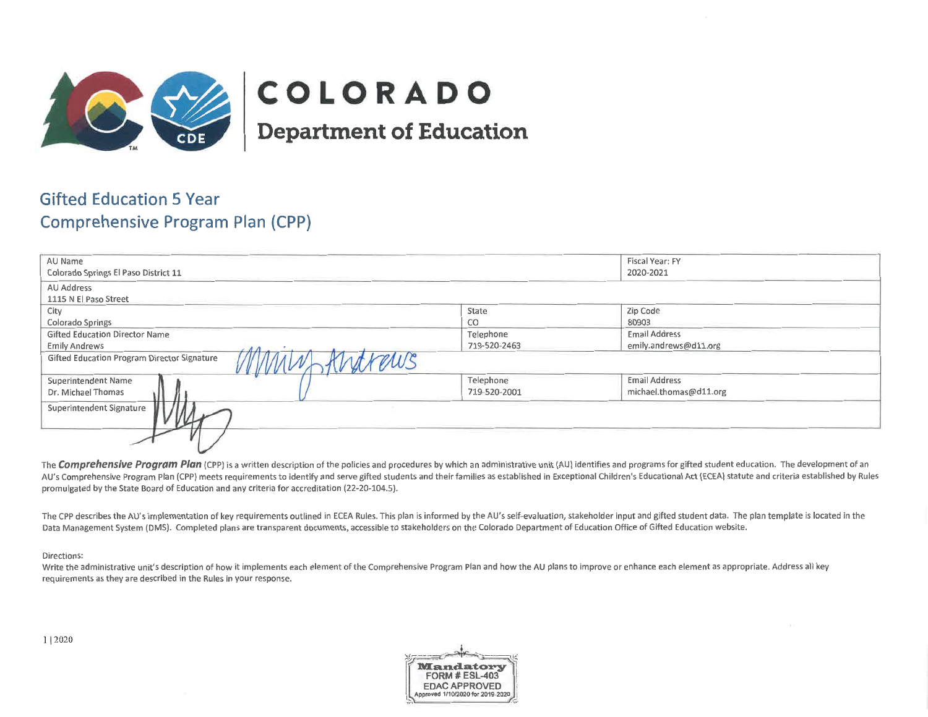

# COLORADO

**Department of Education** 

# **Gifted Education 5 Year Comprehensive Program Plan (CPP)**

| AU Name                                                       |              | Fiscal Year: FY        |
|---------------------------------------------------------------|--------------|------------------------|
| Colorado Springs El Paso District 11                          |              | 2020-2021              |
| AU Address                                                    |              |                        |
| 1115 N El Paso Street                                         |              |                        |
| City                                                          | State        | Zip Code               |
| Colorado Springs                                              | CO           | 80903                  |
| <b>Gifted Education Director Name</b>                         | Telephone    | <b>Email Address</b>   |
| Emily Andrews                                                 | 719-520-2463 | emily.andrews@d11.org  |
| ytvenus<br><b>Gifted Education Program Director Signature</b> |              |                        |
| <b>Superintendent Name</b>                                    | Telephone    | <b>Email Address</b>   |
| Dr. Michael Thomas                                            | 719-520-2001 | michael.thomas@d11.org |
| Superintendent Signature                                      |              |                        |
|                                                               |              |                        |

The Comprehensive Program Plan (CPP) is a written description of the policies and procedures by which an administrative unit (AU) identifies and programs for gifted student education. The development of an AU's Comprehensive Program Plan (CPP) meets requirements to identify and serve gifted students and their families as established in Exceptional Children's Educational Act (ECEA) statute and criteria established by Rules promulgated by the State Board of Education and any criteria for accreditation (22-20-104.5).

The CPP describes the AU's implementation of key requirements outlined in ECEA Rules. This plan is informed by the AU's self-evaluation, stakeholder input and gifted student data. The plan template is located in the Data Management System (DMS). Completed plans are transparent documents, accessible to stakeholders on the Colorado Department of Education Office of Gifted Education website.

#### Directions:

Write the administrative unit's description of how it implements each element of the Comprehensive Program Plan and how the AU plans to improve or enhance each element as appropriate. Address all key requirements as they are described in the Rules in your response.

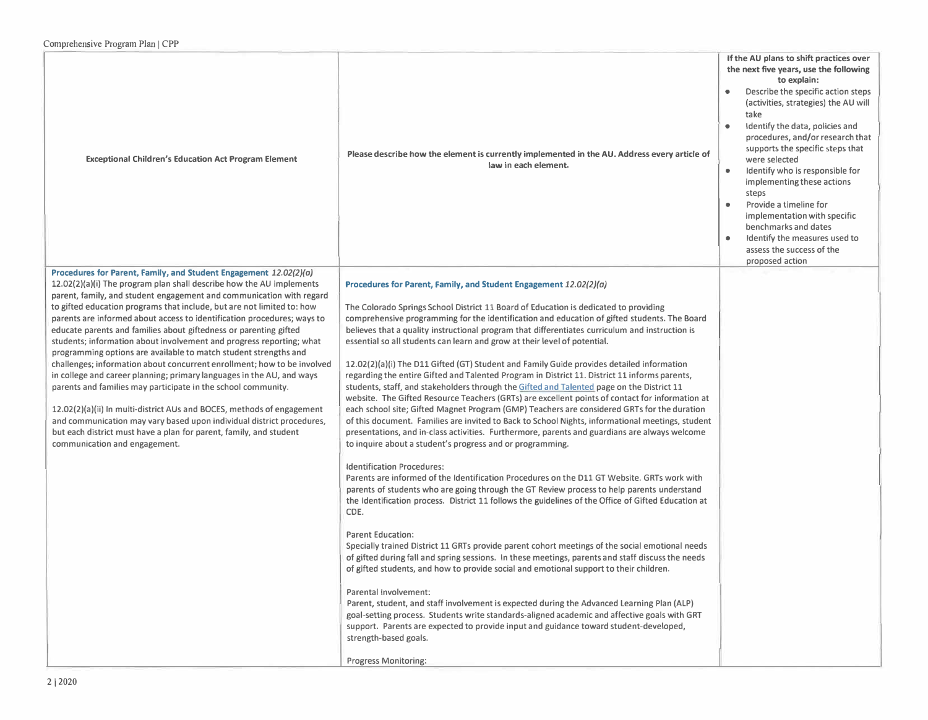| <b>Exceptional Children's Education Act Program Element</b>                                                                                                                                                                                                                                                                                                                                                                                                                                                                                                                                                                                                                                                                                                                                                                                                                                                                                                                                                                                                            | Please describe how the element is currently implemented in the AU. Address every article of<br>law in each element.                                                                                                                                                                                                                                                                                                                                                                                                                                                                                                                                                                                                                                                                                                                                                                                                                                                                                                                                                                                                                                                                                                                                                                                                                                                                                                                                                                                                                                                                                                                                                                                                                                                                                                                                                                                                                                                                                                                                                                                                                                                                                                                                     | If the AU plans to shift practices over<br>the next five years, use the following<br>to explain:<br>Describe the specific action steps<br>(activities, strategies) the AU will<br>take<br>Identify the data, policies and<br>$\bullet$<br>procedures, and/or research that<br>supports the specific steps that<br>were selected<br>Identify who is responsible for<br>۰<br>implementing these actions<br>steps<br>Provide a timeline for<br>٠<br>implementation with specific<br>benchmarks and dates<br>Identify the measures used to<br>$\bullet$<br>assess the success of the<br>proposed action |
|------------------------------------------------------------------------------------------------------------------------------------------------------------------------------------------------------------------------------------------------------------------------------------------------------------------------------------------------------------------------------------------------------------------------------------------------------------------------------------------------------------------------------------------------------------------------------------------------------------------------------------------------------------------------------------------------------------------------------------------------------------------------------------------------------------------------------------------------------------------------------------------------------------------------------------------------------------------------------------------------------------------------------------------------------------------------|----------------------------------------------------------------------------------------------------------------------------------------------------------------------------------------------------------------------------------------------------------------------------------------------------------------------------------------------------------------------------------------------------------------------------------------------------------------------------------------------------------------------------------------------------------------------------------------------------------------------------------------------------------------------------------------------------------------------------------------------------------------------------------------------------------------------------------------------------------------------------------------------------------------------------------------------------------------------------------------------------------------------------------------------------------------------------------------------------------------------------------------------------------------------------------------------------------------------------------------------------------------------------------------------------------------------------------------------------------------------------------------------------------------------------------------------------------------------------------------------------------------------------------------------------------------------------------------------------------------------------------------------------------------------------------------------------------------------------------------------------------------------------------------------------------------------------------------------------------------------------------------------------------------------------------------------------------------------------------------------------------------------------------------------------------------------------------------------------------------------------------------------------------------------------------------------------------------------------------------------------------|-----------------------------------------------------------------------------------------------------------------------------------------------------------------------------------------------------------------------------------------------------------------------------------------------------------------------------------------------------------------------------------------------------------------------------------------------------------------------------------------------------------------------------------------------------------------------------------------------------|
| Procedures for Parent, Family, and Student Engagement 12.02(2)(a)<br>12.02(2)(a)(i) The program plan shall describe how the AU implements<br>parent, family, and student engagement and communication with regard<br>to gifted education programs that include, but are not limited to: how<br>parents are informed about access to identification procedures; ways to<br>educate parents and families about giftedness or parenting gifted<br>students; information about involvement and progress reporting; what<br>programming options are available to match student strengths and<br>challenges; information about concurrent enrollment; how to be involved<br>in college and career planning; primary languages in the AU, and ways<br>parents and families may participate in the school community.<br>12.02(2)(a)(ii) In multi-district AUs and BOCES, methods of engagement<br>and communication may vary based upon individual district procedures,<br>but each district must have a plan for parent, family, and student<br>communication and engagement. | Procedures for Parent, Family, and Student Engagement 12.02(2)(a)<br>The Colorado Springs School District 11 Board of Education is dedicated to providing<br>comprehensive programming for the identification and education of gifted students. The Board<br>believes that a quality instructional program that differentiates curriculum and instruction is<br>essential so all students can learn and grow at their level of potential.<br>12.02(2)(a)(i) The D11 Gifted (GT) Student and Family Guide provides detailed information<br>regarding the entire Gifted and Talented Program in District 11. District 11 informs parents,<br>students, staff, and stakeholders through the Gifted and Talented page on the District 11<br>website. The Gifted Resource Teachers (GRTs) are excellent points of contact for information at<br>each school site; Gifted Magnet Program (GMP) Teachers are considered GRTs for the duration<br>of this document. Families are invited to Back to School Nights, informational meetings, student<br>presentations, and in-class activities. Furthermore, parents and guardians are always welcome<br>to inquire about a student's progress and or programming.<br>Identification Procedures:<br>Parents are informed of the Identification Procedures on the D11 GT Website. GRTs work with<br>parents of students who are going through the GT Review process to help parents understand<br>the Identification process. District 11 follows the guidelines of the Office of Gifted Education at<br>CDE.<br><b>Parent Education:</b><br>Specially trained District 11 GRTs provide parent cohort meetings of the social emotional needs<br>of gifted during fall and spring sessions. In these meetings, parents and staff discuss the needs<br>of gifted students, and how to provide social and emotional support to their children.<br>Parental Involvement:<br>Parent, student, and staff involvement is expected during the Advanced Learning Plan (ALP)<br>goal-setting process. Students write standards-aligned academic and affective goals with GRT<br>support. Parents are expected to provide input and guidance toward student-developed,<br>strength-based goals.<br><b>Progress Monitoring:</b> |                                                                                                                                                                                                                                                                                                                                                                                                                                                                                                                                                                                                     |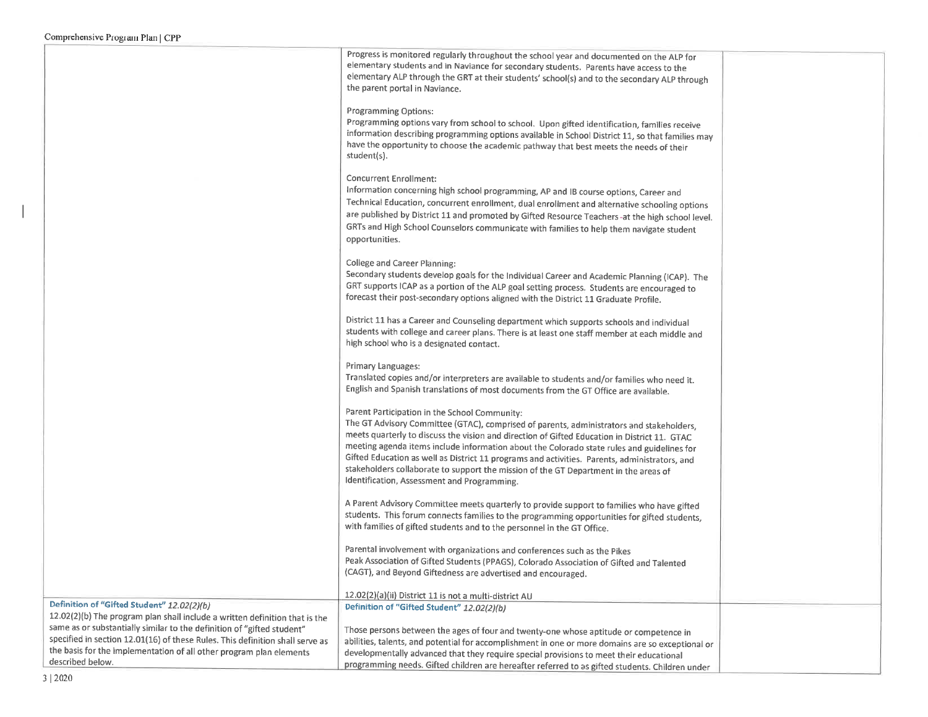|                                                                                         | Progress is monitored regularly throughout the school year and documented on the ALP for          |  |
|-----------------------------------------------------------------------------------------|---------------------------------------------------------------------------------------------------|--|
|                                                                                         | elementary students and in Naviance for secondary students. Parents have access to the            |  |
|                                                                                         | elementary ALP through the GRT at their students' school(s) and to the secondary ALP through      |  |
|                                                                                         | the parent portal in Naviance.                                                                    |  |
|                                                                                         | <b>Programming Options:</b>                                                                       |  |
|                                                                                         | Programming options vary from school to school. Upon gifted identification, families receive      |  |
|                                                                                         | information describing programming options available in School District 11, so that families may  |  |
|                                                                                         | have the opportunity to choose the academic pathway that best meets the needs of their            |  |
|                                                                                         | student(s).                                                                                       |  |
|                                                                                         | <b>Concurrent Enrollment:</b>                                                                     |  |
|                                                                                         | Information concerning high school programming, AP and IB course options, Career and              |  |
|                                                                                         | Technical Education, concurrent enrollment, dual enrollment and alternative schooling options     |  |
|                                                                                         | are published by District 11 and promoted by Gifted Resource Teachers -at the high school level.  |  |
|                                                                                         | GRTs and High School Counselors communicate with families to help them navigate student           |  |
|                                                                                         | opportunities.                                                                                    |  |
|                                                                                         |                                                                                                   |  |
|                                                                                         | <b>College and Career Planning:</b>                                                               |  |
|                                                                                         | Secondary students develop goals for the Individual Career and Academic Planning (ICAP). The      |  |
|                                                                                         | GRT supports ICAP as a portion of the ALP goal setting process. Students are encouraged to        |  |
|                                                                                         | forecast their post-secondary options aligned with the District 11 Graduate Profile.              |  |
|                                                                                         | District 11 has a Career and Counseling department which supports schools and individual          |  |
|                                                                                         | students with college and career plans. There is at least one staff member at each middle and     |  |
|                                                                                         | high school who is a designated contact.                                                          |  |
|                                                                                         |                                                                                                   |  |
|                                                                                         | Primary Languages:                                                                                |  |
|                                                                                         | Translated copies and/or interpreters are available to students and/or families who need it.      |  |
|                                                                                         | English and Spanish translations of most documents from the GT Office are available.              |  |
|                                                                                         | Parent Participation in the School Community:                                                     |  |
|                                                                                         | The GT Advisory Committee (GTAC), comprised of parents, administrators and stakeholders,          |  |
|                                                                                         | meets quarterly to discuss the vision and direction of Gifted Education in District 11. GTAC      |  |
|                                                                                         | meeting agenda items include information about the Colorado state rules and guidelines for        |  |
|                                                                                         | Gifted Education as well as District 11 programs and activities. Parents, administrators, and     |  |
|                                                                                         | stakeholders collaborate to support the mission of the GT Department in the areas of              |  |
|                                                                                         | Identification, Assessment and Programming.                                                       |  |
|                                                                                         | A Parent Advisory Committee meets quarterly to provide support to families who have gifted        |  |
|                                                                                         | students. This forum connects families to the programming opportunities for gifted students,      |  |
|                                                                                         | with families of gifted students and to the personnel in the GT Office.                           |  |
|                                                                                         |                                                                                                   |  |
|                                                                                         | Parental involvement with organizations and conferences such as the Pikes                         |  |
|                                                                                         | Peak Association of Gifted Students (PPAGS), Colorado Association of Gifted and Talented          |  |
|                                                                                         | (CAGT), and Beyond Giftedness are advertised and encouraged.                                      |  |
|                                                                                         | 12.02(2)(a)(ii) District 11 is not a multi-district AU                                            |  |
| Definition of "Gifted Student" 12.02(2)(b)                                              | Definition of "Gifted Student" 12.02(2)(b)                                                        |  |
| 12.02(2)(b) The program plan shall include a written definition that is the             |                                                                                                   |  |
| same as or substantially similar to the definition of "gifted student"                  | Those persons between the ages of four and twenty-one whose aptitude or competence in             |  |
| specified in section 12.01(16) of these Rules. This definition shall serve as           | abilities, talents, and potential for accomplishment in one or more domains are so exceptional or |  |
| the basis for the implementation of all other program plan elements<br>described below. | developmentally advanced that they require special provisions to meet their educational           |  |
|                                                                                         | programming needs. Gifted children are hereafter referred to as gifted students. Children under   |  |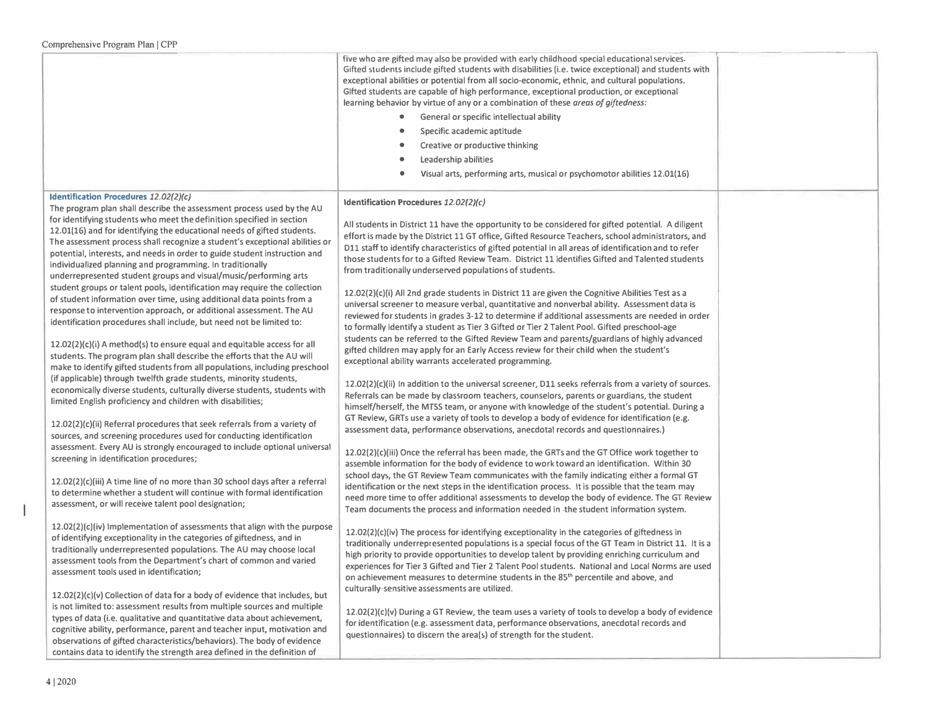|                                                                                                                                                                                                                                                                                                                                                                                                                                                                                                                                                                                                                                                                                                                                                                                                                                                                                                                                                                                                                                                                                                                                                                                                                                                                                                                                                                                                                                                                                                                                                                                                                                                                                                                                                                                                                                                                                                                                                                                                                                                                                                                                                                         | five who are gifted may also be provided with early childhood special educational services.<br>Gifted students include gifted students with disabilities (i.e. twice exceptional) and students with<br>exceptional abilities or potential from all socio-economic, ethnic, and cultural populations.<br>Gifted students are capable of high performance, exceptional production, or exceptional<br>learning behavior by virtue of any or a combination of these areas of giftedness:<br>General or specific intellectual ability<br>Specific academic aptitude<br>Creative or productive thinking<br>Leadership abilities<br>Visual arts, performing arts, musical or psychomotor abilities 12.01(16)<br>$\bullet$                                                                                                                                                                                                                                                                                                                                                                                                                                                                                                                                                                                                                                                                                                                                                                                                                                                                                                                                                                                                                                                                                                                                                                                                                                                                                                                                                                                                                                                                                                                                                                                                                                                                                                                                                                                                                                                                                                                                                                                                                                                                         |  |
|-------------------------------------------------------------------------------------------------------------------------------------------------------------------------------------------------------------------------------------------------------------------------------------------------------------------------------------------------------------------------------------------------------------------------------------------------------------------------------------------------------------------------------------------------------------------------------------------------------------------------------------------------------------------------------------------------------------------------------------------------------------------------------------------------------------------------------------------------------------------------------------------------------------------------------------------------------------------------------------------------------------------------------------------------------------------------------------------------------------------------------------------------------------------------------------------------------------------------------------------------------------------------------------------------------------------------------------------------------------------------------------------------------------------------------------------------------------------------------------------------------------------------------------------------------------------------------------------------------------------------------------------------------------------------------------------------------------------------------------------------------------------------------------------------------------------------------------------------------------------------------------------------------------------------------------------------------------------------------------------------------------------------------------------------------------------------------------------------------------------------------------------------------------------------|--------------------------------------------------------------------------------------------------------------------------------------------------------------------------------------------------------------------------------------------------------------------------------------------------------------------------------------------------------------------------------------------------------------------------------------------------------------------------------------------------------------------------------------------------------------------------------------------------------------------------------------------------------------------------------------------------------------------------------------------------------------------------------------------------------------------------------------------------------------------------------------------------------------------------------------------------------------------------------------------------------------------------------------------------------------------------------------------------------------------------------------------------------------------------------------------------------------------------------------------------------------------------------------------------------------------------------------------------------------------------------------------------------------------------------------------------------------------------------------------------------------------------------------------------------------------------------------------------------------------------------------------------------------------------------------------------------------------------------------------------------------------------------------------------------------------------------------------------------------------------------------------------------------------------------------------------------------------------------------------------------------------------------------------------------------------------------------------------------------------------------------------------------------------------------------------------------------------------------------------------------------------------------------------------------------------------------------------------------------------------------------------------------------------------------------------------------------------------------------------------------------------------------------------------------------------------------------------------------------------------------------------------------------------------------------------------------------------------------------------------------------------------------------------|--|
| Identification Procedures 12.02(2)(c)<br>The program plan shall describe the assessment process used by the AU<br>for identifying students who meet the definition specified in section<br>12.01(16) and for identifying the educational needs of gifted students.<br>The assessment process shall recognize a student's exceptional abilities or<br>potential, interests, and needs in order to guide student instruction and<br>individualized planning and programming. In traditionally<br>underrepresented student groups and visual/music/performing arts<br>student groups or talent pools, identification may require the collection<br>of student information over time, using additional data points from a<br>response to intervention approach, or additional assessment. The AU<br>identification procedures shall include, but need not be limited to:<br>12.02(2)(c)(i) A method(s) to ensure equal and equitable access for all<br>students. The program plan shall describe the efforts that the AU will<br>make to identify gifted students from all populations, including preschool<br>(if applicable) through twelfth grade students, minority students,<br>economically diverse students, culturally diverse students, students with<br>limited English proficiency and children with disabilities;<br>12.02(2)(c)(ii) Referral procedures that seek referrals from a variety of<br>sources, and screening procedures used for conducting identification<br>assessment. Every AU is strongly encouraged to include optional universal<br>screening in identification procedures;<br>12.02(2)(c)(iii) A time line of no more than 30 school days after a referral<br>to determine whether a student will continue with formal identification<br>assessment, or will receive talent pool designation;<br>12.02(2)(c)(iv) Implementation of assessments that align with the purpose<br>of identifying exceptionality in the categories of giftedness, and in<br>traditionally underrepresented populations. The AU may choose local<br>assessment tools from the Department's chart of common and varied<br>assessment tools used in identification; | Identification Procedures 12.02(2)(c)<br>All students in District 11 have the opportunity to be considered for gifted potential. A diligent<br>effort is made by the District 11 GT office, Gifted Resource Teachers, school administrators, and<br>D11 staff to identify characteristics of gifted potential in all areas of identification and to refer<br>those students for to a Gifted Review Team. District 11 identifies Gifted and Talented students<br>from traditionally underserved populations of students.<br>12.02(2)(c)(i) All 2nd grade students in District 11 are given the Cognitive Abilities Test as a<br>universal screener to measure verbal, quantitative and nonverbal ability. Assessment data is<br>reviewed for students in grades 3-12 to determine if additional assessments are needed in order<br>to formally identify a student as Tier 3 Gifted or Tier 2 Talent Pool. Gifted preschool-age<br>students can be referred to the Gifted Review Team and parents/guardians of highly advanced<br>gifted children may apply for an Early Access review for their child when the student's<br>exceptional ability warrants accelerated programming.<br>12.02(2)(c)(ii) In addition to the universal screener, D11 seeks referrals from a variety of sources.<br>Referrals can be made by classroom teachers, counselors, parents or guardians, the student<br>himself/herself, the MTSS team, or anyone with knowledge of the student's potential. During a<br>GT Review, GRTs use a variety of tools to develop a body of evidence for identification (e.g.<br>assessment data, performance observations, anecdotal records and questionnaires.)<br>12.02(2)(c)(iii) Once the referral has been made, the GRTs and the GT Office work together to<br>assemble information for the body of evidence to work toward an identification. Within 30<br>school days, the GT Review Team communicates with the family indicating either a formal GT<br>identification or the next steps in the identification process. It is possible that the team may<br>need more time to offer additional assessments to develop the body of evidence. The GT Review<br>Team documents the process and information needed in -the student information system.<br>12.02(2)(c)(iv) The process for identifying exceptionality in the categories of giftedness in<br>traditionally underrepresented populations is a special focus of the GT Team in District 11. It is a<br>high priority to provide opportunities to develop talent by providing enriching curriculum and<br>experiences for Tier 3 Gifted and Tier 2 Talent Pool students. National and Local Norms are used<br>on achievement measures to determine students in the 85 <sup>th</sup> percentile and above, and |  |
| 12.02(2)(c)(v) Collection of data for a body of evidence that includes, but<br>is not limited to: assessment results from multiple sources and multiple<br>types of data (i.e. qualitative and quantitative data about achievement,<br>cognitive ability, performance, parent and teacher input, motivation and<br>observations of gifted characteristics/behaviors). The body of evidence<br>contains data to identify the strength area defined in the definition of                                                                                                                                                                                                                                                                                                                                                                                                                                                                                                                                                                                                                                                                                                                                                                                                                                                                                                                                                                                                                                                                                                                                                                                                                                                                                                                                                                                                                                                                                                                                                                                                                                                                                                  | culturally-sensitive assessments are utilized.<br>12.02(2)(c)(v) During a GT Review, the team uses a variety of tools to develop a body of evidence<br>for identification (e.g. assessment data, performance observations, anecdotal records and<br>questionnaires) to discern the area(s) of strength for the student.                                                                                                                                                                                                                                                                                                                                                                                                                                                                                                                                                                                                                                                                                                                                                                                                                                                                                                                                                                                                                                                                                                                                                                                                                                                                                                                                                                                                                                                                                                                                                                                                                                                                                                                                                                                                                                                                                                                                                                                                                                                                                                                                                                                                                                                                                                                                                                                                                                                                    |  |

-1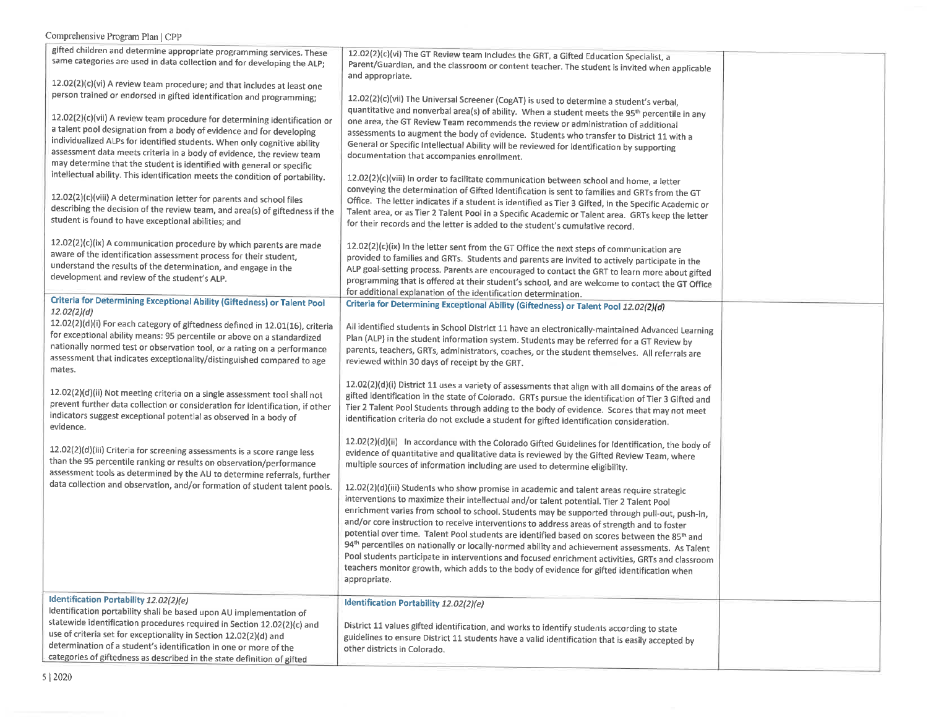| 12.02(2)(c)(vii) A review team procedure for determining identification or                                                                             | quantitative and nonverbal area(s) of ability. When a student meets the 95 <sup>th</sup> percentile in any<br>one area, the GT Review Team recommends the review or administration of additional                |  |
|--------------------------------------------------------------------------------------------------------------------------------------------------------|-----------------------------------------------------------------------------------------------------------------------------------------------------------------------------------------------------------------|--|
| a talent pool designation from a body of evidence and for developing<br>individualized ALPs for identified students. When only cognitive ability       | assessments to augment the body of evidence. Students who transfer to District 11 with a                                                                                                                        |  |
| assessment data meets criteria in a body of evidence, the review team                                                                                  | General or Specific Intellectual Ability will be reviewed for identification by supporting<br>documentation that accompanies enrollment.                                                                        |  |
| may determine that the student is identified with general or specific<br>intellectual ability. This identification meets the condition of portability. | 12.02(2)(c)(viii) In order to facilitate communication between school and home, a letter                                                                                                                        |  |
| 12.02(2)(c)(viii) A determination letter for parents and school files                                                                                  | conveying the determination of Gifted Identification is sent to families and GRTs from the GT                                                                                                                   |  |
| describing the decision of the review team, and area(s) of giftedness if the                                                                           | Office. The letter indicates if a student is identified as Tier 3 Gifted, in the Specific Academic or<br>Talent area, or as Tier 2 Talent Pool in a Specific Academic or Talent area. GRTs keep the letter      |  |
| student is found to have exceptional abilities; and                                                                                                    | for their records and the letter is added to the student's cumulative record.                                                                                                                                   |  |
| 12.02(2)(c)(ix) A communication procedure by which parents are made                                                                                    | 12.02(2)(c)(ix) In the letter sent from the GT Office the next steps of communication are                                                                                                                       |  |
| aware of the identification assessment process for their student,<br>understand the results of the determination, and engage in the                    | provided to families and GRTs. Students and parents are invited to actively participate in the<br>ALP goal-setting process. Parents are encouraged to contact the GRT to learn more about gifted                |  |
| development and review of the student's ALP.                                                                                                           | programming that is offered at their student's school, and are welcome to contact the GT Office                                                                                                                 |  |
| Criteria for Determining Exceptional Ability (Giftedness) or Talent Pool                                                                               | for additional explanation of the identification determination.<br>Criteria for Determining Exceptional Ability (Giftedness) or Talent Pool 12.02(2)(d)                                                         |  |
| 12.02(2)(d)<br>12.02(2)(d)(i) For each category of giftedness defined in 12.01(16), criteria                                                           |                                                                                                                                                                                                                 |  |
| for exceptional ability means: 95 percentile or above on a standardized                                                                                | All identified students in School District 11 have an electronically-maintained Advanced Learning<br>Plan (ALP) in the student information system. Students may be referred for a GT Review by                  |  |
| nationally normed test or observation tool, or a rating on a performance<br>assessment that indicates exceptionality/distinguished compared to age     | parents, teachers, GRTs, administrators, coaches, or the student themselves. All referrals are                                                                                                                  |  |
| mates.                                                                                                                                                 | reviewed within 30 days of receipt by the GRT.                                                                                                                                                                  |  |
| 12.02(2)(d)(ii) Not meeting criteria on a single assessment tool shall not                                                                             | 12.02(2)(d)(i) District 11 uses a variety of assessments that align with all domains of the areas of<br>gifted identification in the state of Colorado. GRTs pursue the identification of Tier 3 Gifted and     |  |
| prevent further data collection or consideration for identification, if other                                                                          | Tier 2 Talent Pool Students through adding to the body of evidence. Scores that may not meet                                                                                                                    |  |
| indicators suggest exceptional potential as observed in a body of<br>evidence.                                                                         | identification criteria do not exclude a student for gifted identification consideration.                                                                                                                       |  |
| 12.02(2)(d)(iii) Criteria for screening assessments is a score range less                                                                              | 12.02(2)(d)(ii) In accordance with the Colorado Gifted Guidelines for Identification, the body of                                                                                                               |  |
| than the 95 percentile ranking or results on observation/performance                                                                                   | evidence of quantitative and qualitative data is reviewed by the Gifted Review Team, where<br>multiple sources of information including are used to determine eligibility.                                      |  |
| assessment tools as determined by the AU to determine referrals, further<br>data collection and observation, and/or formation of student talent pools. | 12.02(2)(d)(iii) Students who show promise in academic and talent areas require strategic                                                                                                                       |  |
|                                                                                                                                                        | interventions to maximize their intellectual and/or talent potential. Tier 2 Talent Pool                                                                                                                        |  |
|                                                                                                                                                        | enrichment varies from school to school. Students may be supported through pull-out, push-in,<br>and/or core instruction to receive interventions to address areas of strength and to foster                    |  |
|                                                                                                                                                        | potential over time. Talent Pool students are identified based on scores between the 85 <sup>th</sup> and                                                                                                       |  |
|                                                                                                                                                        | 94 <sup>th</sup> percentiles on nationally or locally-normed ability and achievement assessments. As Talent<br>Pool students participate in interventions and focused enrichment activities, GRTs and classroom |  |
|                                                                                                                                                        | teachers monitor growth, which adds to the body of evidence for gifted identification when                                                                                                                      |  |
|                                                                                                                                                        | appropriate.                                                                                                                                                                                                    |  |
| Identification Portability 12.02(2)(e)<br>Identification portability shall be based upon AU implementation of                                          | Identification Portability 12.02(2)(e)                                                                                                                                                                          |  |
| statewide identification procedures required in Section 12.02(2)(c) and                                                                                | District 11 values gifted identification, and works to identify students according to state                                                                                                                     |  |
| use of criteria set for exceptionality in Section 12.02(2)(d) and<br>determination of a student's identification in one or more of the                 | guidelines to ensure District 11 students have a valid identification that is easily accepted by                                                                                                                |  |
|                                                                                                                                                        | other districts in Colorado.                                                                                                                                                                                    |  |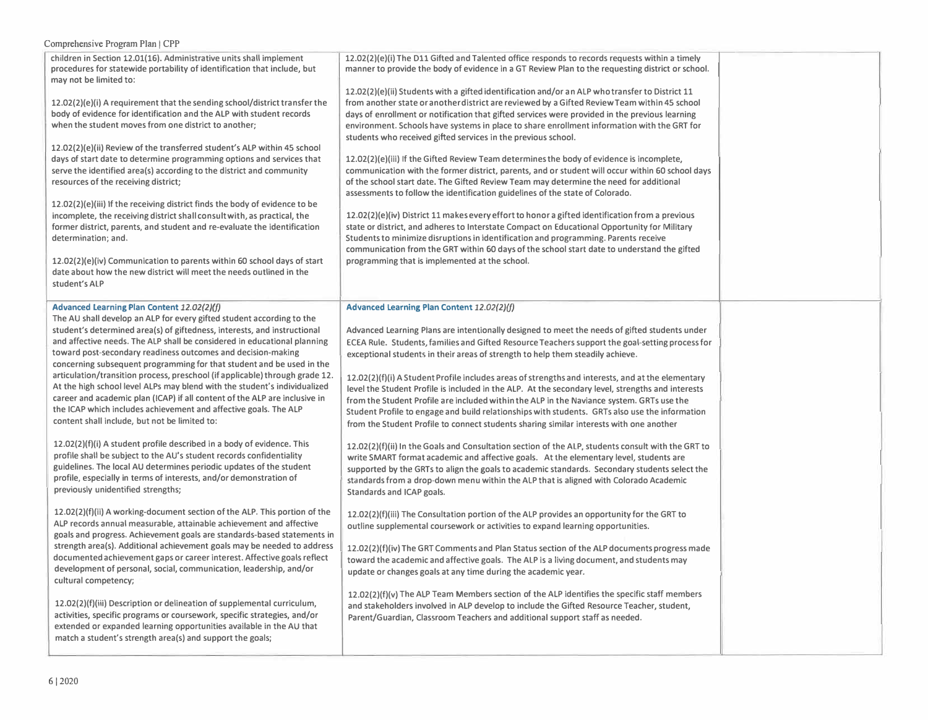| $\mu$                                                                                                                                                                                                                                                                                                                                                                                                                                                                                                                                                                                                                                                                                                                                                                                                                                                                                                                                                                                                                                                                                                                     |                                                                                                                                                                                                                                                                                                                                                                                                                                                                                                                                                                                                                                                                                                                                                                                                                                                                                                                                                                                                                                                                                                                                                                                                                                                                                                                                                                                                                                                                                                  |  |
|---------------------------------------------------------------------------------------------------------------------------------------------------------------------------------------------------------------------------------------------------------------------------------------------------------------------------------------------------------------------------------------------------------------------------------------------------------------------------------------------------------------------------------------------------------------------------------------------------------------------------------------------------------------------------------------------------------------------------------------------------------------------------------------------------------------------------------------------------------------------------------------------------------------------------------------------------------------------------------------------------------------------------------------------------------------------------------------------------------------------------|--------------------------------------------------------------------------------------------------------------------------------------------------------------------------------------------------------------------------------------------------------------------------------------------------------------------------------------------------------------------------------------------------------------------------------------------------------------------------------------------------------------------------------------------------------------------------------------------------------------------------------------------------------------------------------------------------------------------------------------------------------------------------------------------------------------------------------------------------------------------------------------------------------------------------------------------------------------------------------------------------------------------------------------------------------------------------------------------------------------------------------------------------------------------------------------------------------------------------------------------------------------------------------------------------------------------------------------------------------------------------------------------------------------------------------------------------------------------------------------------------|--|
| children in Section 12.01(16). Administrative units shall implement<br>procedures for statewide portability of identification that include, but<br>may not be limited to:<br>12.02(2)(e)(i) A requirement that the sending school/district transfer the<br>body of evidence for identification and the ALP with student records<br>when the student moves from one district to another;<br>12.02(2)(e)(ii) Review of the transferred student's ALP within 45 school<br>days of start date to determine programming options and services that<br>serve the identified area(s) according to the district and community<br>resources of the receiving district;<br>12.02(2)(e)(iii) If the receiving district finds the body of evidence to be<br>incomplete, the receiving district shall consult with, as practical, the<br>former district, parents, and student and re-evaluate the identification<br>determination; and.<br>12.02(2)(e)(iv) Communication to parents within 60 school days of start<br>date about how the new district will meet the needs outlined in the                                              | 12.02(2)(e)(i) The D11 Gifted and Talented office responds to records requests within a timely<br>manner to provide the body of evidence in a GT Review Plan to the requesting district or school.<br>12.02(2)(e)(ii) Students with a gifted identification and/or an ALP who transfer to District 11<br>from another state or another district are reviewed by a Gifted Review Team within 45 school<br>days of enrollment or notification that gifted services were provided in the previous learning<br>environment. Schools have systems in place to share enrollment information with the GRT for<br>students who received gifted services in the previous school.<br>12.02(2)(e)(iii) If the Gifted Review Team determines the body of evidence is incomplete,<br>communication with the former district, parents, and or student will occur within 60 school days<br>of the school start date. The Gifted Review Team may determine the need for additional<br>assessments to follow the identification guidelines of the state of Colorado.<br>$12.02(2)(e)(iv)$ District 11 makes every effort to honor a gifted identification from a previous<br>state or district, and adheres to Interstate Compact on Educational Opportunity for Military<br>Students to minimize disruptions in identification and programming. Parents receive<br>communication from the GRT within 60 days of the school start date to understand the gifted<br>programming that is implemented at the school. |  |
| student's ALP                                                                                                                                                                                                                                                                                                                                                                                                                                                                                                                                                                                                                                                                                                                                                                                                                                                                                                                                                                                                                                                                                                             |                                                                                                                                                                                                                                                                                                                                                                                                                                                                                                                                                                                                                                                                                                                                                                                                                                                                                                                                                                                                                                                                                                                                                                                                                                                                                                                                                                                                                                                                                                  |  |
| Advanced Learning Plan Content 12.02(2)(f)<br>The AU shall develop an ALP for every gifted student according to the<br>student's determined area(s) of giftedness, interests, and instructional<br>and affective needs. The ALP shall be considered in educational planning<br>toward post-secondary readiness outcomes and decision-making<br>concerning subsequent programming for that student and be used in the<br>articulation/transition process, preschool (if applicable) through grade 12.<br>At the high school level ALPs may blend with the student's individualized<br>career and academic plan (ICAP) if all content of the ALP are inclusive in<br>the ICAP which includes achievement and affective goals. The ALP<br>content shall include, but not be limited to:<br>12.02(2)(f)(i) A student profile described in a body of evidence. This<br>profile shall be subject to the AU's student records confidentiality<br>guidelines. The local AU determines periodic updates of the student<br>profile, especially in terms of interests, and/or demonstration of<br>previously unidentified strengths; | Advanced Learning Plan Content 12.02(2)(f)<br>Advanced Learning Plans are intentionally designed to meet the needs of gifted students under<br>ECEA Rule. Students, families and Gifted Resource Teachers support the goal-setting process for<br>exceptional students in their areas of strength to help them steadily achieve.<br>12.02(2)(f)(i) A Student Profile includes areas of strengths and interests, and at the elementary<br>level the Student Profile is included in the ALP. At the secondary level, strengths and interests<br>from the Student Profile are included within the ALP in the Naviance system. GRTs use the<br>Student Profile to engage and build relationships with students. GRTs also use the information<br>from the Student Profile to connect students sharing similar interests with one another<br>12.02(2)(f)(ii) In the Goals and Consultation section of the ALP, students consult with the GRT to<br>write SMART format academic and affective goals. At the elementary level, students are<br>supported by the GRTs to align the goals to academic standards. Secondary students select the<br>standards from a drop-down menu within the ALP that is aligned with Colorado Academic<br>Standards and ICAP goals.                                                                                                                                                                                                                                      |  |
| 12.02(2)(f)(ii) A working-document section of the ALP. This portion of the<br>ALP records annual measurable, attainable achievement and affective<br>goals and progress. Achievement goals are standards-based statements in<br>strength area(s). Additional achievement goals may be needed to address<br>documented achievement gaps or career interest. Affective goals reflect<br>development of personal, social, communication, leadership, and/or<br>cultural competency;<br>12.02(2)(f)(iii) Description or delineation of supplemental curriculum,<br>activities, specific programs or coursework, specific strategies, and/or<br>extended or expanded learning opportunities available in the AU that<br>match a student's strength area(s) and support the goals;                                                                                                                                                                                                                                                                                                                                              | $12.02(2)(f)(iii)$ The Consultation portion of the ALP provides an opportunity for the GRT to<br>outline supplemental coursework or activities to expand learning opportunities.<br>12.02(2)(f)(iv) The GRT Comments and Plan Status section of the ALP documents progress made<br>toward the academic and affective goals. The ALP is a living document, and students may<br>update or changes goals at any time during the academic year.<br>$12.02(2)(f)(v)$ The ALP Team Members section of the ALP identifies the specific staff members<br>and stakeholders involved in ALP develop to include the Gifted Resource Teacher, student,<br>Parent/Guardian, Classroom Teachers and additional support staff as needed.                                                                                                                                                                                                                                                                                                                                                                                                                                                                                                                                                                                                                                                                                                                                                                        |  |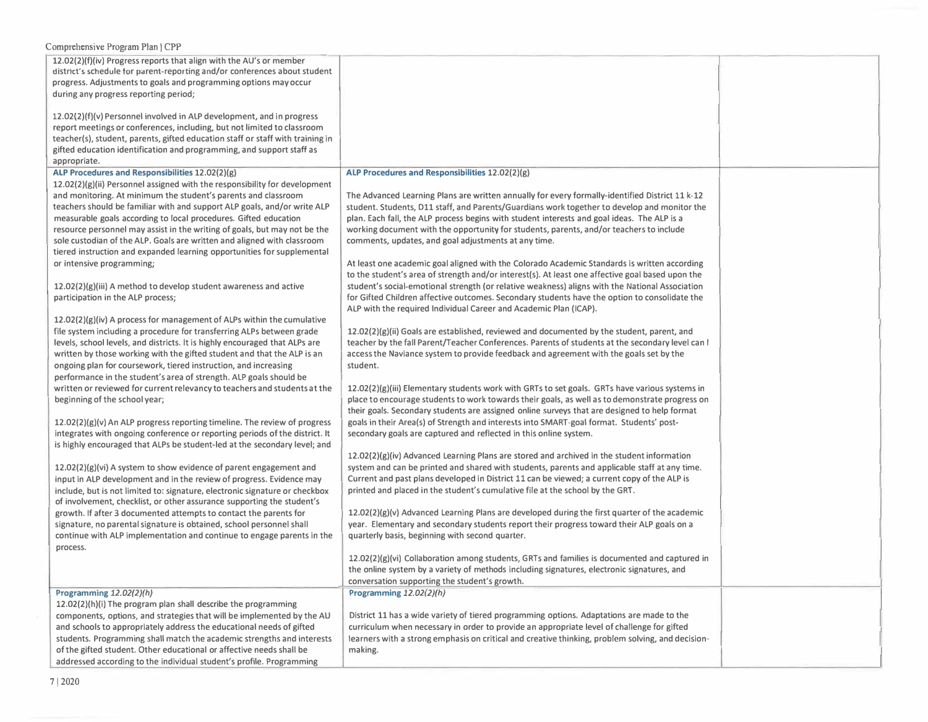| 12.02(2)(f)(iv) Progress reports that align with the AU's or member<br>district's schedule for parent-reporting and/or conferences about student<br>progress. Adjustments to goals and programming options may occur<br>during any progress reporting period;                                                                                                                                                                                                                                                                     |                                                                                                                                                                                                                                                                                                                                                                                                                                                                                                                                                                           |  |
|-----------------------------------------------------------------------------------------------------------------------------------------------------------------------------------------------------------------------------------------------------------------------------------------------------------------------------------------------------------------------------------------------------------------------------------------------------------------------------------------------------------------------------------|---------------------------------------------------------------------------------------------------------------------------------------------------------------------------------------------------------------------------------------------------------------------------------------------------------------------------------------------------------------------------------------------------------------------------------------------------------------------------------------------------------------------------------------------------------------------------|--|
| 12.02(2)(f)(v) Personnel involved in ALP development, and in progress<br>report meetings or conferences, including, but not limited to classroom<br>teacher(s), student, parents, gifted education staff or staff with training in<br>gifted education identification and programming, and support staff as<br>appropriate.                                                                                                                                                                                                       |                                                                                                                                                                                                                                                                                                                                                                                                                                                                                                                                                                           |  |
| ALP Procedures and Responsibilities 12.02(2)(g)                                                                                                                                                                                                                                                                                                                                                                                                                                                                                   | ALP Procedures and Responsibilities 12.02(2)(g)                                                                                                                                                                                                                                                                                                                                                                                                                                                                                                                           |  |
| $12.02(2)(g)(ii)$ Personnel assigned with the responsibility for development<br>and monitoring. At minimum the student's parents and classroom<br>teachers should be familiar with and support ALP goals, and/or write ALP<br>measurable goals according to local procedures. Gifted education<br>resource personnel may assist in the writing of goals, but may not be the<br>sole custodian of the ALP. Goals are written and aligned with classroom<br>tiered instruction and expanded learning opportunities for supplemental | The Advanced Learning Plans are written annually for every formally-identified District 11 k-12<br>student. Students, D11 staff, and Parents/Guardians work together to develop and monitor the<br>plan. Each fall, the ALP process begins with student interests and goal ideas. The ALP is a<br>working document with the opportunity for students, parents, and/or teachers to include<br>comments, updates, and goal adjustments at any time.                                                                                                                         |  |
| or intensive programming;<br>$12.02(2)(g)(iii)$ A method to develop student awareness and active<br>participation in the ALP process;                                                                                                                                                                                                                                                                                                                                                                                             | At least one academic goal aligned with the Colorado Academic Standards is written according<br>to the student's area of strength and/or interest(s). At least one affective goal based upon the<br>student's social-emotional strength (or relative weakness) aligns with the National Association<br>for Gifted Children affective outcomes. Secondary students have the option to consolidate the<br>ALP with the required Individual Career and Academic Plan (ICAP).                                                                                                 |  |
| $12.02(2)(g)(iv)$ A process for management of ALPs within the cumulative<br>file system including a procedure for transferring ALPs between grade<br>levels, school levels, and districts. It is highly encouraged that ALPs are<br>written by those working with the gifted student and that the ALP is an<br>ongoing plan for coursework, tiered instruction, and increasing<br>performance in the student's area of strength. ALP goals should be                                                                              | 12.02(2)(g)(ii) Goals are established, reviewed and documented by the student, parent, and<br>teacher by the fall Parent/Teacher Conferences. Parents of students at the secondary level can l<br>access the Naviance system to provide feedback and agreement with the goals set by the<br>student.                                                                                                                                                                                                                                                                      |  |
| written or reviewed for current relevancy to teachers and students at the<br>beginning of the school year;<br>12.02(2)(g)(v) An ALP progress reporting timeline. The review of progress<br>integrates with ongoing conference or reporting periods of the district. It                                                                                                                                                                                                                                                            | 12.02(2)(g)(iii) Elementary students work with GRTs to set goals. GRTs have various systems in<br>place to encourage students to work towards their goals, as well as to demonstrate progress on<br>their goals. Secondary students are assigned online surveys that are designed to help format<br>goals in their Area(s) of Strength and interests into SMART-goal format. Students' post-<br>secondary goals are captured and reflected in this online system.                                                                                                         |  |
| is highly encouraged that ALPs be student-led at the secondary level; and<br>$12.02(2)(g)(vi)$ A system to show evidence of parent engagement and<br>input in ALP development and in the review of progress. Evidence may<br>include, but is not limited to: signature, electronic signature or checkbox<br>of involvement, checklist, or other assurance supporting the student's<br>growth. If after 3 documented attempts to contact the parents for<br>signature, no parental signature is obtained, school personnel shall   | 12.02(2)(g)(iv) Advanced Learning Plans are stored and archived in the student information<br>system and can be printed and shared with students, parents and applicable staff at any time.<br>Current and past plans developed in District 11 can be viewed; a current copy of the ALP is<br>printed and placed in the student's cumulative file at the school by the GRT.<br>12.02(2)(g)(v) Advanced Learning Plans are developed during the first quarter of the academic<br>year. Elementary and secondary students report their progress toward their ALP goals on a |  |
| continue with ALP implementation and continue to engage parents in the<br>process.                                                                                                                                                                                                                                                                                                                                                                                                                                                | quarterly basis, beginning with second quarter.<br>$12.02(2)(g)(vi)$ Collaboration among students, GRTs and families is documented and captured in                                                                                                                                                                                                                                                                                                                                                                                                                        |  |
|                                                                                                                                                                                                                                                                                                                                                                                                                                                                                                                                   | the online system by a variety of methods including signatures, electronic signatures, and                                                                                                                                                                                                                                                                                                                                                                                                                                                                                |  |
| Programming 12.02(2)(h)<br>12.02(2)(h)(i) The program plan shall describe the programming<br>components, options, and strategies that will be implemented by the AU<br>and schools to appropriately address the educational needs of gifted<br>students. Programming shall match the academic strengths and interests<br>of the gifted student. Other educational or affective needs shall be<br>addressed according to the individual student's profile. Programming                                                             | conversation supporting the student's growth.<br>Programming $12.02(2)(h)$<br>District 11 has a wide variety of tiered programming options. Adaptations are made to the<br>curriculum when necessary in order to provide an appropriate level of challenge for gifted<br>learners with a strong emphasis on critical and creative thinking, problem solving, and decision-<br>making.                                                                                                                                                                                     |  |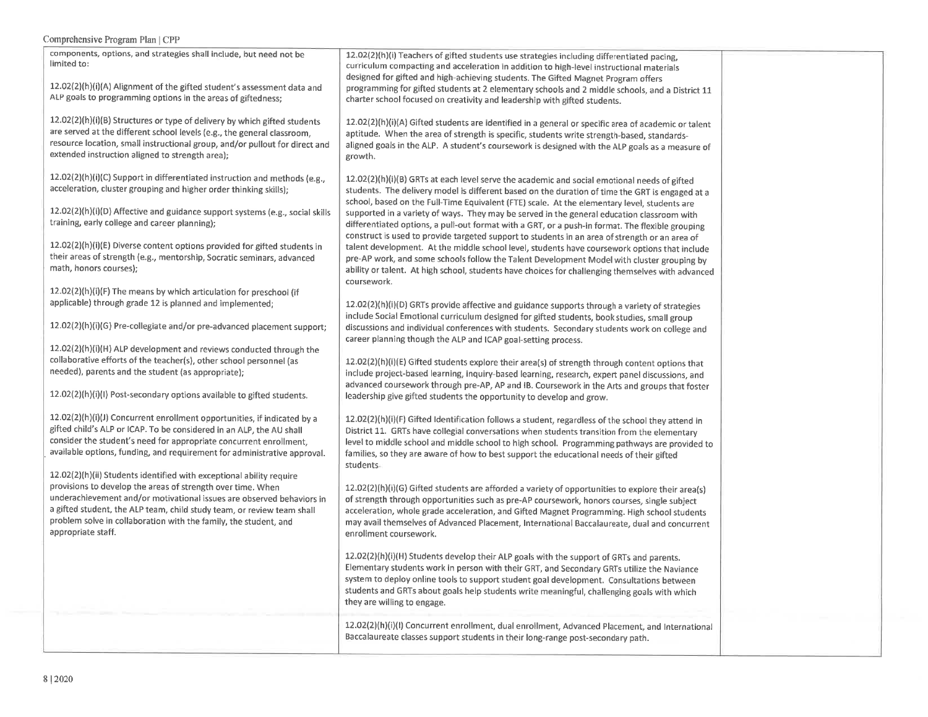| components, options, and strategies shall include, but need not be<br>limited to:<br>12.02(2)(h)(i)(A) Alignment of the gifted student's assessment data and<br>ALP goals to programming options in the areas of giftedness;<br>12.02(2)(h)(i)(B) Structures or type of delivery by which gifted students<br>are served at the different school levels (e.g., the general classroom,<br>resource location, small instructional group, and/or pullout for direct and<br>extended instruction aligned to strength area);<br>12.02(2)(h)(i)(C) Support in differentiated instruction and methods (e.g.,<br>acceleration, cluster grouping and higher order thinking skills);<br>12.02(2)(h)(i)(D) Affective and guidance support systems (e.g., social skills | 12.02(2)(h)(i) Teachers of gifted students use strategies including differentiated pacing,<br>curriculum compacting and acceleration in addition to high-level instructional materials<br>designed for gifted and high-achieving students. The Gifted Magnet Program offers<br>programming for gifted students at 2 elementary schools and 2 middle schools, and a District 11<br>charter school focused on creativity and leadership with gifted students.<br>12.02(2)(h)(i)(A) Gifted students are identified in a general or specific area of academic or talent<br>aptitude. When the area of strength is specific, students write strength-based, standards-<br>aligned goals in the ALP. A student's coursework is designed with the ALP goals as a measure of<br>growth.<br>$12.02(2)(h)(i)(B)$ GRTs at each level serve the academic and social emotional needs of gifted<br>students. The delivery model is different based on the duration of time the GRT is engaged at a<br>school, based on the Full-Time Equivalent (FTE) scale. At the elementary level, students are<br>supported in a variety of ways. They may be served in the general education classroom with |  |
|------------------------------------------------------------------------------------------------------------------------------------------------------------------------------------------------------------------------------------------------------------------------------------------------------------------------------------------------------------------------------------------------------------------------------------------------------------------------------------------------------------------------------------------------------------------------------------------------------------------------------------------------------------------------------------------------------------------------------------------------------------|------------------------------------------------------------------------------------------------------------------------------------------------------------------------------------------------------------------------------------------------------------------------------------------------------------------------------------------------------------------------------------------------------------------------------------------------------------------------------------------------------------------------------------------------------------------------------------------------------------------------------------------------------------------------------------------------------------------------------------------------------------------------------------------------------------------------------------------------------------------------------------------------------------------------------------------------------------------------------------------------------------------------------------------------------------------------------------------------------------------------------------------------------------------------------------|--|
| training, early college and career planning);<br>12.02(2)(h)(i)(E) Diverse content options provided for gifted students in<br>their areas of strength (e.g., mentorship, Socratic seminars, advanced<br>math, honors courses);                                                                                                                                                                                                                                                                                                                                                                                                                                                                                                                             | differentiated options, a pull-out format with a GRT, or a push-in format. The flexible grouping<br>construct is used to provide targeted support to students in an area of strength or an area of<br>talent development. At the middle school level, students have coursework options that include<br>pre-AP work, and some schools follow the Talent Development Model with cluster grouping by<br>ability or talent. At high school, students have choices for challenging themselves with advanced                                                                                                                                                                                                                                                                                                                                                                                                                                                                                                                                                                                                                                                                             |  |
| 12.02(2)(h)(i)(F) The means by which articulation for preschool (if<br>applicable) through grade 12 is planned and implemented;<br>12.02(2)(h)(i)(G) Pre-collegiate and/or pre-advanced placement support;                                                                                                                                                                                                                                                                                                                                                                                                                                                                                                                                                 | coursework.<br>12.02(2)(h)(i)(D) GRTs provide affective and guidance supports through a variety of strategies<br>include Social Emotional curriculum designed for gifted students, book studies, small group<br>discussions and individual conferences with students. Secondary students work on college and<br>career planning though the ALP and ICAP goal-setting process.                                                                                                                                                                                                                                                                                                                                                                                                                                                                                                                                                                                                                                                                                                                                                                                                      |  |
| 12.02(2)(h)(i)(H) ALP development and reviews conducted through the<br>collaborative efforts of the teacher(s), other school personnel (as<br>needed), parents and the student (as appropriate);<br>12.02(2)(h)(i)(l) Post-secondary options available to gifted students.                                                                                                                                                                                                                                                                                                                                                                                                                                                                                 | 12.02(2)(h)(i)(E) Gifted students explore their area(s) of strength through content options that<br>include project-based learning, inquiry-based learning, research, expert panel discussions, and<br>advanced coursework through pre-AP, AP and IB. Coursework in the Arts and groups that foster<br>leadership give gifted students the opportunity to develop and grow.                                                                                                                                                                                                                                                                                                                                                                                                                                                                                                                                                                                                                                                                                                                                                                                                        |  |
| 12.02(2)(h)(i)(J) Concurrent enrollment opportunities, if indicated by a<br>gifted child's ALP or ICAP. To be considered in an ALP, the AU shall<br>consider the student's need for appropriate concurrent enrollment,<br>available options, funding, and requirement for administrative approval.                                                                                                                                                                                                                                                                                                                                                                                                                                                         | 12.02(2)(h)(i)(F) Gifted Identification follows a student, regardless of the school they attend in<br>District 11. GRTs have collegial conversations when students transition from the elementary<br>level to middle school and middle school to high school. Programming pathways are provided to<br>families, so they are aware of how to best support the educational needs of their gifted<br>students.                                                                                                                                                                                                                                                                                                                                                                                                                                                                                                                                                                                                                                                                                                                                                                        |  |
| 12.02(2)(h)(ii) Students identified with exceptional ability require<br>provisions to develop the areas of strength over time. When<br>underachievement and/or motivational issues are observed behaviors in<br>a gifted student, the ALP team, child study team, or review team shall<br>problem solve in collaboration with the family, the student, and<br>appropriate staff.                                                                                                                                                                                                                                                                                                                                                                           | 12.02(2)(h)(i)(G) Gifted students are afforded a variety of opportunities to explore their area(s)<br>of strength through opportunities such as pre-AP coursework, honors courses, single subject<br>acceleration, whole grade acceleration, and Gifted Magnet Programming. High school students<br>may avail themselves of Advanced Placement, International Baccalaureate, dual and concurrent<br>enrollment coursework.                                                                                                                                                                                                                                                                                                                                                                                                                                                                                                                                                                                                                                                                                                                                                         |  |
|                                                                                                                                                                                                                                                                                                                                                                                                                                                                                                                                                                                                                                                                                                                                                            | 12.02(2)(h)(i)(H) Students develop their ALP goals with the support of GRTs and parents.<br>Elementary students work in person with their GRT, and Secondary GRTs utilize the Naviance<br>system to deploy online tools to support student goal development. Consultations between<br>students and GRTs about goals help students write meaningful, challenging goals with which<br>they are willing to engage.                                                                                                                                                                                                                                                                                                                                                                                                                                                                                                                                                                                                                                                                                                                                                                    |  |
|                                                                                                                                                                                                                                                                                                                                                                                                                                                                                                                                                                                                                                                                                                                                                            | 12.02(2)(h)(i)(l) Concurrent enrollment, dual enrollment, Advanced Placement, and International<br>Baccalaureate classes support students in their long-range post-secondary path.                                                                                                                                                                                                                                                                                                                                                                                                                                                                                                                                                                                                                                                                                                                                                                                                                                                                                                                                                                                                 |  |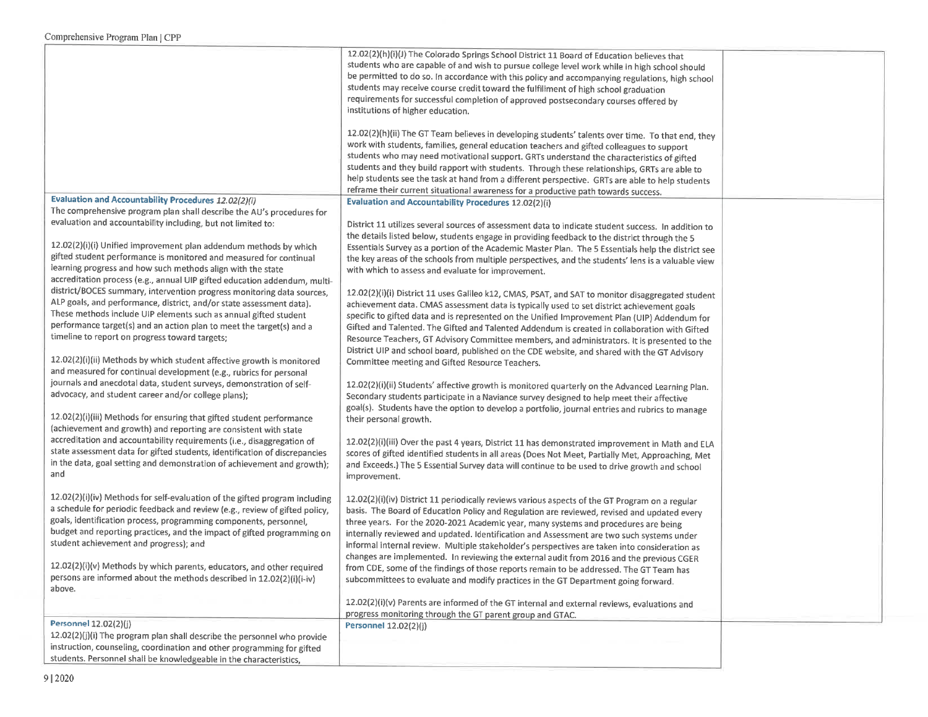|                                                                                                                                                       | 12.02(2)(h)(i)(J) The Colorado Springs School District 11 Board of Education believes that<br>students who are capable of and wish to pursue college level work while in high school should<br>be permitted to do so. In accordance with this policy and accompanying regulations, high school<br>students may receive course credit toward the fulfillment of high school graduation<br>requirements for successful completion of approved postsecondary courses offered by<br>institutions of higher education.<br>12.02(2)(h)(ii) The GT Team believes in developing students' talents over time. To that end, they<br>work with students, families, general education teachers and gifted colleagues to support<br>students who may need motivational support. GRTs understand the characteristics of gifted<br>students and they build rapport with students. Through these relationships, GRTs are able to<br>help students see the task at hand from a different perspective. GRTs are able to help students |  |
|-------------------------------------------------------------------------------------------------------------------------------------------------------|---------------------------------------------------------------------------------------------------------------------------------------------------------------------------------------------------------------------------------------------------------------------------------------------------------------------------------------------------------------------------------------------------------------------------------------------------------------------------------------------------------------------------------------------------------------------------------------------------------------------------------------------------------------------------------------------------------------------------------------------------------------------------------------------------------------------------------------------------------------------------------------------------------------------------------------------------------------------------------------------------------------------|--|
| <b>Evaluation and Accountability Procedures 12.02(2)(i)</b>                                                                                           | reframe their current situational awareness for a productive path towards success.<br><b>Evaluation and Accountability Procedures 12.02(2)(i)</b>                                                                                                                                                                                                                                                                                                                                                                                                                                                                                                                                                                                                                                                                                                                                                                                                                                                                   |  |
| The comprehensive program plan shall describe the AU's procedures for                                                                                 |                                                                                                                                                                                                                                                                                                                                                                                                                                                                                                                                                                                                                                                                                                                                                                                                                                                                                                                                                                                                                     |  |
| evaluation and accountability including, but not limited to:                                                                                          | District 11 utilizes several sources of assessment data to indicate student success. In addition to                                                                                                                                                                                                                                                                                                                                                                                                                                                                                                                                                                                                                                                                                                                                                                                                                                                                                                                 |  |
|                                                                                                                                                       | the details listed below, students engage in providing feedback to the district through the 5                                                                                                                                                                                                                                                                                                                                                                                                                                                                                                                                                                                                                                                                                                                                                                                                                                                                                                                       |  |
| 12.02(2)(i)(i) Unified improvement plan addendum methods by which<br>gifted student performance is monitored and measured for continual               | Essentials Survey as a portion of the Academic Master Plan. The 5 Essentials help the district see                                                                                                                                                                                                                                                                                                                                                                                                                                                                                                                                                                                                                                                                                                                                                                                                                                                                                                                  |  |
| learning progress and how such methods align with the state                                                                                           | the key areas of the schools from multiple perspectives, and the students' lens is a valuable view<br>with which to assess and evaluate for improvement.                                                                                                                                                                                                                                                                                                                                                                                                                                                                                                                                                                                                                                                                                                                                                                                                                                                            |  |
| accreditation process (e.g., annual UIP gifted education addendum, multi-                                                                             |                                                                                                                                                                                                                                                                                                                                                                                                                                                                                                                                                                                                                                                                                                                                                                                                                                                                                                                                                                                                                     |  |
| district/BOCES summary, intervention progress monitoring data sources,                                                                                | 12.02(2)(i)(i) District 11 uses Galileo k12, CMAS, PSAT, and SAT to monitor disaggregated student                                                                                                                                                                                                                                                                                                                                                                                                                                                                                                                                                                                                                                                                                                                                                                                                                                                                                                                   |  |
| ALP goals, and performance, district, and/or state assessment data).<br>These methods include UIP elements such as annual gifted student              | achievement data. CMAS assessment data is typically used to set district achievement goals                                                                                                                                                                                                                                                                                                                                                                                                                                                                                                                                                                                                                                                                                                                                                                                                                                                                                                                          |  |
| performance target(s) and an action plan to meet the target(s) and a                                                                                  | specific to gifted data and is represented on the Unified Improvement Plan (UIP) Addendum for<br>Gifted and Talented. The Gifted and Talented Addendum is created in collaboration with Gifted                                                                                                                                                                                                                                                                                                                                                                                                                                                                                                                                                                                                                                                                                                                                                                                                                      |  |
| timeline to report on progress toward targets;                                                                                                        | Resource Teachers, GT Advisory Committee members, and administrators. It is presented to the                                                                                                                                                                                                                                                                                                                                                                                                                                                                                                                                                                                                                                                                                                                                                                                                                                                                                                                        |  |
|                                                                                                                                                       | District UIP and school board, published on the CDE website, and shared with the GT Advisory                                                                                                                                                                                                                                                                                                                                                                                                                                                                                                                                                                                                                                                                                                                                                                                                                                                                                                                        |  |
| 12.02(2)(i)(ii) Methods by which student affective growth is monitored                                                                                | Committee meeting and Gifted Resource Teachers.                                                                                                                                                                                                                                                                                                                                                                                                                                                                                                                                                                                                                                                                                                                                                                                                                                                                                                                                                                     |  |
| and measured for continual development (e.g., rubrics for personal<br>journals and anecdotal data, student surveys, demonstration of self-            |                                                                                                                                                                                                                                                                                                                                                                                                                                                                                                                                                                                                                                                                                                                                                                                                                                                                                                                                                                                                                     |  |
| advocacy, and student career and/or college plans);                                                                                                   | 12.02(2)(i)(ii) Students' affective growth is monitored quarterly on the Advanced Learning Plan.<br>Secondary students participate in a Naviance survey designed to help meet their affective<br>goal(s). Students have the option to develop a portfolio, journal entries and rubrics to manage                                                                                                                                                                                                                                                                                                                                                                                                                                                                                                                                                                                                                                                                                                                    |  |
| 12.02(2)(i)(iii) Methods for ensuring that gifted student performance<br>(achievement and growth) and reporting are consistent with state             | their personal growth.                                                                                                                                                                                                                                                                                                                                                                                                                                                                                                                                                                                                                                                                                                                                                                                                                                                                                                                                                                                              |  |
| accreditation and accountability requirements (i.e., disaggregation of                                                                                | 12.02(2)(i)(iii) Over the past 4 years, District 11 has demonstrated improvement in Math and ELA                                                                                                                                                                                                                                                                                                                                                                                                                                                                                                                                                                                                                                                                                                                                                                                                                                                                                                                    |  |
| state assessment data for gifted students, identification of discrepancies<br>in the data, goal setting and demonstration of achievement and growth); | scores of gifted identified students in all areas (Does Not Meet, Partially Met, Approaching, Met                                                                                                                                                                                                                                                                                                                                                                                                                                                                                                                                                                                                                                                                                                                                                                                                                                                                                                                   |  |
| and                                                                                                                                                   | and Exceeds.) The 5 Essential Survey data will continue to be used to drive growth and school<br>improvement.                                                                                                                                                                                                                                                                                                                                                                                                                                                                                                                                                                                                                                                                                                                                                                                                                                                                                                       |  |
| 12.02(2)(i)(iv) Methods for self-evaluation of the gifted program including                                                                           | 12.02(2)(i)(iv) District 11 periodically reviews various aspects of the GT Program on a regular                                                                                                                                                                                                                                                                                                                                                                                                                                                                                                                                                                                                                                                                                                                                                                                                                                                                                                                     |  |
| a schedule for periodic feedback and review (e.g., review of gifted policy,                                                                           | basis. The Board of Education Policy and Regulation are reviewed, revised and updated every                                                                                                                                                                                                                                                                                                                                                                                                                                                                                                                                                                                                                                                                                                                                                                                                                                                                                                                         |  |
| goals, identification process, programming components, personnel,                                                                                     | three years. For the 2020-2021 Academic year, many systems and procedures are being                                                                                                                                                                                                                                                                                                                                                                                                                                                                                                                                                                                                                                                                                                                                                                                                                                                                                                                                 |  |
| budget and reporting practices, and the impact of gifted programming on                                                                               | internally reviewed and updated. Identification and Assessment are two such systems under                                                                                                                                                                                                                                                                                                                                                                                                                                                                                                                                                                                                                                                                                                                                                                                                                                                                                                                           |  |
| student achievement and progress); and                                                                                                                | informal internal review. Multiple stakeholder's perspectives are taken into consideration as                                                                                                                                                                                                                                                                                                                                                                                                                                                                                                                                                                                                                                                                                                                                                                                                                                                                                                                       |  |
| 12.02(2)(i)(v) Methods by which parents, educators, and other required                                                                                | changes are implemented. In reviewing the external audit from 2016 and the previous CGER<br>from CDE, some of the findings of those reports remain to be addressed. The GT Team has                                                                                                                                                                                                                                                                                                                                                                                                                                                                                                                                                                                                                                                                                                                                                                                                                                 |  |
| persons are informed about the methods described in 12.02(2)(i)(i-iv)<br>above.                                                                       | subcommittees to evaluate and modify practices in the GT Department going forward.                                                                                                                                                                                                                                                                                                                                                                                                                                                                                                                                                                                                                                                                                                                                                                                                                                                                                                                                  |  |
|                                                                                                                                                       | 12.02(2)(i)(v) Parents are informed of the GT internal and external reviews, evaluations and                                                                                                                                                                                                                                                                                                                                                                                                                                                                                                                                                                                                                                                                                                                                                                                                                                                                                                                        |  |
|                                                                                                                                                       | progress monitoring through the GT parent group and GTAC.                                                                                                                                                                                                                                                                                                                                                                                                                                                                                                                                                                                                                                                                                                                                                                                                                                                                                                                                                           |  |
| Personnel 12.02(2)(j)                                                                                                                                 | Personnel 12.02(2)(j)                                                                                                                                                                                                                                                                                                                                                                                                                                                                                                                                                                                                                                                                                                                                                                                                                                                                                                                                                                                               |  |
| 12.02(2)(j)(i) The program plan shall describe the personnel who provide                                                                              |                                                                                                                                                                                                                                                                                                                                                                                                                                                                                                                                                                                                                                                                                                                                                                                                                                                                                                                                                                                                                     |  |
| instruction, counseling, coordination and other programming for gifted<br>students. Personnel shall be knowledgeable in the characteristics,          |                                                                                                                                                                                                                                                                                                                                                                                                                                                                                                                                                                                                                                                                                                                                                                                                                                                                                                                                                                                                                     |  |
|                                                                                                                                                       |                                                                                                                                                                                                                                                                                                                                                                                                                                                                                                                                                                                                                                                                                                                                                                                                                                                                                                                                                                                                                     |  |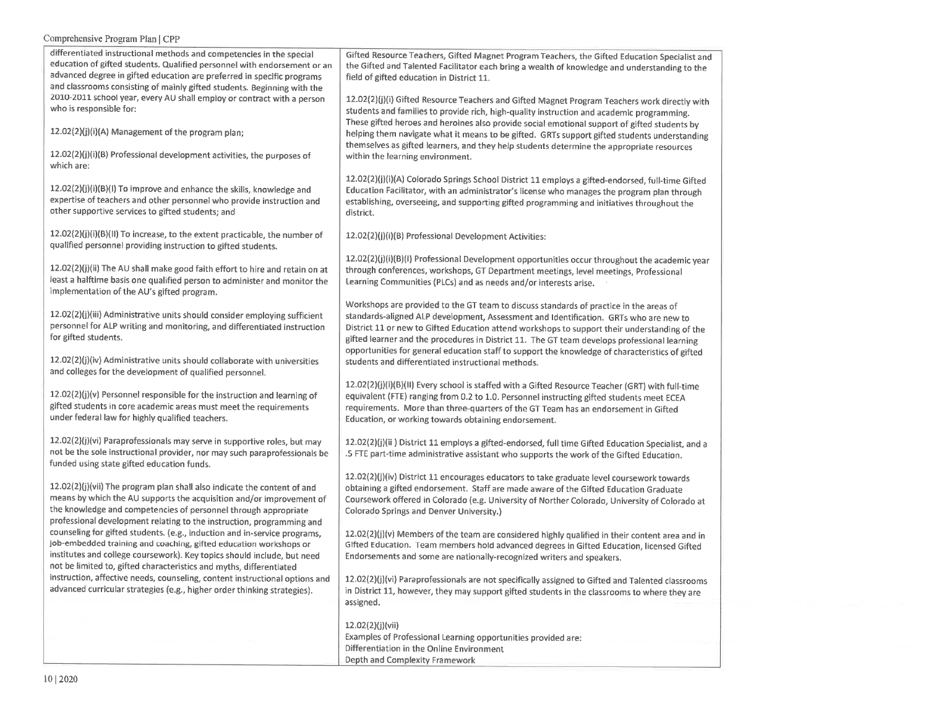| differentiated instructional methods and competencies in the special<br>education of gifted students. Qualified personnel with endorsement or an<br>advanced degree in gifted education are preferred in specific programs                                                                       | Gifted Resource Teachers, Gifted Magnet Program Teachers, the Gifted Education Specialist and<br>the Gifted and Talented Facilitator each bring a wealth of knowledge and understanding to the<br>field of gifted education in District 11.                                                                                                                                                                                                                                         |
|--------------------------------------------------------------------------------------------------------------------------------------------------------------------------------------------------------------------------------------------------------------------------------------------------|-------------------------------------------------------------------------------------------------------------------------------------------------------------------------------------------------------------------------------------------------------------------------------------------------------------------------------------------------------------------------------------------------------------------------------------------------------------------------------------|
| and classrooms consisting of mainly gifted students. Beginning with the<br>2010-2011 school year, every AU shall employ or contract with a person<br>who is responsible for:                                                                                                                     | 12.02(2)(j)(i) Gifted Resource Teachers and Gifted Magnet Program Teachers work directly with<br>students and families to provide rich, high-quality instruction and academic programming.                                                                                                                                                                                                                                                                                          |
| 12.02(2)(j)(i)(A) Management of the program plan;                                                                                                                                                                                                                                                | These gifted heroes and heroines also provide social emotional support of gifted students by<br>helping them navigate what it means to be gifted. GRTs support gifted students understanding<br>themselves as gifted learners, and they help students determine the appropriate resources                                                                                                                                                                                           |
| 12.02(2)(j)(i)(B) Professional development activities, the purposes of<br>which are:                                                                                                                                                                                                             | within the learning environment.                                                                                                                                                                                                                                                                                                                                                                                                                                                    |
| 12.02(2)(j)(i)(B)(I) To improve and enhance the skills, knowledge and<br>expertise of teachers and other personnel who provide instruction and<br>other supportive services to gifted students; and                                                                                              | 12.02(2)(j)(i)(A) Colorado Springs School District 11 employs a gifted-endorsed, full-time Gifted<br>Education Facilitator, with an administrator's license who manages the program plan through<br>establishing, overseeing, and supporting gifted programming and initiatives throughout the<br>district.                                                                                                                                                                         |
| 12.02(2)(j)(i)(B)(II) To increase, to the extent practicable, the number of<br>qualified personnel providing instruction to gifted students.                                                                                                                                                     | 12.02(2)(j)(i)(B) Professional Development Activities:                                                                                                                                                                                                                                                                                                                                                                                                                              |
| 12.02(2)(j)(ii) The AU shall make good faith effort to hire and retain on at<br>least a halftime basis one qualified person to administer and monitor the<br>implementation of the AU's gifted program.                                                                                          | 12.02(2)(j)(i)(B)(I) Professional Development opportunities occur throughout the academic year<br>through conferences, workshops, GT Department meetings, level meetings, Professional<br>Learning Communities (PLCs) and as needs and/or interests arise.                                                                                                                                                                                                                          |
| 12.02(2)(j)(iii) Administrative units should consider employing sufficient<br>personnel for ALP writing and monitoring, and differentiated instruction<br>for gifted students.                                                                                                                   | Workshops are provided to the GT team to discuss standards of practice in the areas of<br>standards-aligned ALP development, Assessment and Identification. GRTs who are new to<br>District 11 or new to Gifted Education attend workshops to support their understanding of the<br>gifted learner and the procedures in District 11. The GT team develops professional learning<br>opportunities for general education staff to support the knowledge of characteristics of gifted |
| 12.02(2)(j)(iv) Administrative units should collaborate with universities<br>and colleges for the development of qualified personnel.                                                                                                                                                            | students and differentiated instructional methods.                                                                                                                                                                                                                                                                                                                                                                                                                                  |
| $12.02(2)(j)(v)$ Personnel responsible for the instruction and learning of<br>gifted students in core academic areas must meet the requirements<br>under federal law for highly qualified teachers.                                                                                              | 12.02(2)(j)(i)(B)(li) Every school is staffed with a Gifted Resource Teacher (GRT) with full-time<br>equivalent (FTE) ranging from 0.2 to 1.0. Personnel instructing gifted students meet ECEA<br>requirements. More than three-quarters of the GT Team has an endorsement in Gifted<br>Education, or working towards obtaining endorsement.                                                                                                                                        |
| 12.02(2)(j)(vi) Paraprofessionals may serve in supportive roles, but may<br>not be the sole instructional provider, nor may such paraprofessionals be<br>funded using state gifted education funds.                                                                                              | 12.02(2)(j)(ii) District 11 employs a gifted-endorsed, full time Gifted Education Specialist, and a<br>.5 FTE part-time administrative assistant who supports the work of the Gifted Education.                                                                                                                                                                                                                                                                                     |
| 12.02(2)(j)(vii) The program plan shall also indicate the content of and<br>means by which the AU supports the acquisition and/or improvement of<br>the knowledge and competencies of personnel through appropriate<br>professional development relating to the instruction, programming and     | 12.02(2)(j)(iv) District 11 encourages educators to take graduate level coursework towards<br>obtaining a gifted endorsement. Staff are made aware of the Gifted Education Graduate<br>Coursework offered in Colorado (e.g. University of Norther Colorado, University of Colorado at<br>Colorado Springs and Denver University.)                                                                                                                                                   |
| counseling for gifted students. (e.g., induction and in-service programs,<br>job-embedded training and coaching, gifted education workshops or<br>institutes and college coursework). Key topics should include, but need<br>not be limited to, gifted characteristics and myths, differentiated | 12.02(2)(j)(v) Members of the team are considered highly qualified in their content area and in<br>Gifted Education. Team members hold advanced degrees in Gifted Education, licensed Gifted<br>Endorsements and some are nationally-recognized writers and speakers.                                                                                                                                                                                                               |
| instruction, affective needs, counseling, content instructional options and<br>advanced curricular strategies (e.g., higher order thinking strategies).                                                                                                                                          | 12.02(2)(j)(vi) Paraprofessionals are not specifically assigned to Gifted and Talented classrooms<br>in District 11, however, they may support gifted students in the classrooms to where they are<br>assigned.                                                                                                                                                                                                                                                                     |
|                                                                                                                                                                                                                                                                                                  | 12.02(2)(j)(vii)<br>Examples of Professional Learning opportunities provided are:<br>Differentiation in the Online Environment<br>Depth and Complexity Framework                                                                                                                                                                                                                                                                                                                    |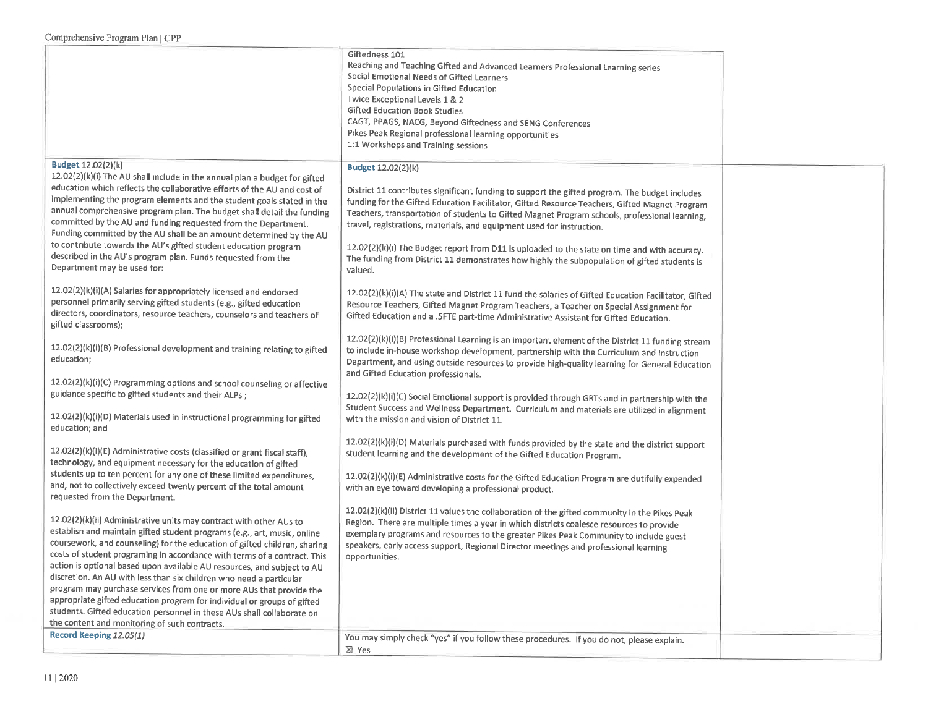|                                                                                                                                                                                                                                                                                                                                                                                                                                                                                                                                                                                                                                                                                                                                         | Giftedness 101<br>Reaching and Teaching Gifted and Advanced Learners Professional Learning series<br>Social Emotional Needs of Gifted Learners<br>Special Populations in Gifted Education<br>Twice Exceptional Levels 1 & 2<br><b>Gifted Education Book Studies</b><br>CAGT, PPAGS, NACG, Beyond Giftedness and SENG Conferences<br>Pikes Peak Regional professional learning opportunities<br>1:1 Workshops and Training sessions                                                                                                                                                                                 |  |
|-----------------------------------------------------------------------------------------------------------------------------------------------------------------------------------------------------------------------------------------------------------------------------------------------------------------------------------------------------------------------------------------------------------------------------------------------------------------------------------------------------------------------------------------------------------------------------------------------------------------------------------------------------------------------------------------------------------------------------------------|--------------------------------------------------------------------------------------------------------------------------------------------------------------------------------------------------------------------------------------------------------------------------------------------------------------------------------------------------------------------------------------------------------------------------------------------------------------------------------------------------------------------------------------------------------------------------------------------------------------------|--|
| <b>Budget 12.02(2)(k)</b><br>12.02(2)(k)(i) The AU shall include in the annual plan a budget for gifted<br>education which reflects the collaborative efforts of the AU and cost of<br>implementing the program elements and the student goals stated in the<br>annual comprehensive program plan. The budget shall detail the funding<br>committed by the AU and funding requested from the Department.<br>Funding committed by the AU shall be an amount determined by the AU<br>to contribute towards the AU's gifted student education program<br>described in the AU's program plan. Funds requested from the<br>Department may be used for:                                                                                       | <b>Budget 12.02(2)(k)</b><br>District 11 contributes significant funding to support the gifted program. The budget includes<br>funding for the Gifted Education Facilitator, Gifted Resource Teachers, Gifted Magnet Program<br>Teachers, transportation of students to Gifted Magnet Program schools, professional learning,<br>travel, registrations, materials, and equipment used for instruction.<br>12.02(2)(k)(i) The Budget report from D11 is uploaded to the state on time and with accuracy.<br>The funding from District 11 demonstrates how highly the subpopulation of gifted students is<br>valued. |  |
| 12.02(2)(k)(i)(A) Salaries for appropriately licensed and endorsed<br>personnel primarily serving gifted students (e.g., gifted education<br>directors, coordinators, resource teachers, counselors and teachers of<br>gifted classrooms);                                                                                                                                                                                                                                                                                                                                                                                                                                                                                              | 12.02(2)(k)(i)(A) The state and District 11 fund the salaries of Gifted Education Facilitator, Gifted<br>Resource Teachers, Gifted Magnet Program Teachers, a Teacher on Special Assignment for<br>Gifted Education and a .5FTE part-time Administrative Assistant for Gifted Education.                                                                                                                                                                                                                                                                                                                           |  |
| 12.02(2)(k)(i)(B) Professional development and training relating to gifted<br>education;                                                                                                                                                                                                                                                                                                                                                                                                                                                                                                                                                                                                                                                | 12.02(2)(k)(i)(B) Professional Learning is an important element of the District 11 funding stream<br>to include in-house workshop development, partnership with the Curriculum and Instruction<br>Department, and using outside resources to provide high-quality learning for General Education<br>and Gifted Education professionals.                                                                                                                                                                                                                                                                            |  |
| 12.02(2)(k)(i)(C) Programming options and school counseling or affective<br>guidance specific to gifted students and their ALPs;<br>12.02(2)(k)(i)(D) Materials used in instructional programming for gifted<br>education; and                                                                                                                                                                                                                                                                                                                                                                                                                                                                                                          | 12.02(2)(k)(i)(C) Social Emotional support is provided through GRTs and in partnership with the<br>Student Success and Wellness Department. Curriculum and materials are utilized in alignment<br>with the mission and vision of District 11.                                                                                                                                                                                                                                                                                                                                                                      |  |
| 12.02(2)(k)(i)(E) Administrative costs (classified or grant fiscal staff),<br>technology, and equipment necessary for the education of gifted<br>students up to ten percent for any one of these limited expenditures,<br>and, not to collectively exceed twenty percent of the total amount<br>requested from the Department.                                                                                                                                                                                                                                                                                                                                                                                                          | 12.02(2)(k)(i)(D) Materials purchased with funds provided by the state and the district support<br>student learning and the development of the Gifted Education Program.<br>12.02(2)(k)(i)(E) Administrative costs for the Gifted Education Program are dutifully expended<br>with an eye toward developing a professional product.                                                                                                                                                                                                                                                                                |  |
| 12.02(2)(k)(ii) Administrative units may contract with other AUs to<br>establish and maintain gifted student programs (e.g., art, music, online<br>coursework, and counseling) for the education of gifted children, sharing<br>costs of student programing in accordance with terms of a contract. This<br>action is optional based upon available AU resources, and subject to AU<br>discretion. An AU with less than six children who need a particular<br>program may purchase services from one or more AUs that provide the<br>appropriate gifted education program for individual or groups of gifted<br>students. Gifted education personnel in these AUs shall collaborate on<br>the content and monitoring of such contracts. | 12.02(2)(k)(ii) District 11 values the collaboration of the gifted community in the Pikes Peak<br>Region. There are multiple times a year in which districts coalesce resources to provide<br>exemplary programs and resources to the greater Pikes Peak Community to include guest<br>speakers, early access support, Regional Director meetings and professional learning<br>opportunities.                                                                                                                                                                                                                      |  |
| Record Keeping 12.05(1)                                                                                                                                                                                                                                                                                                                                                                                                                                                                                                                                                                                                                                                                                                                 | You may simply check "yes" if you follow these procedures. If you do not, please explain.<br>⊠ Yes                                                                                                                                                                                                                                                                                                                                                                                                                                                                                                                 |  |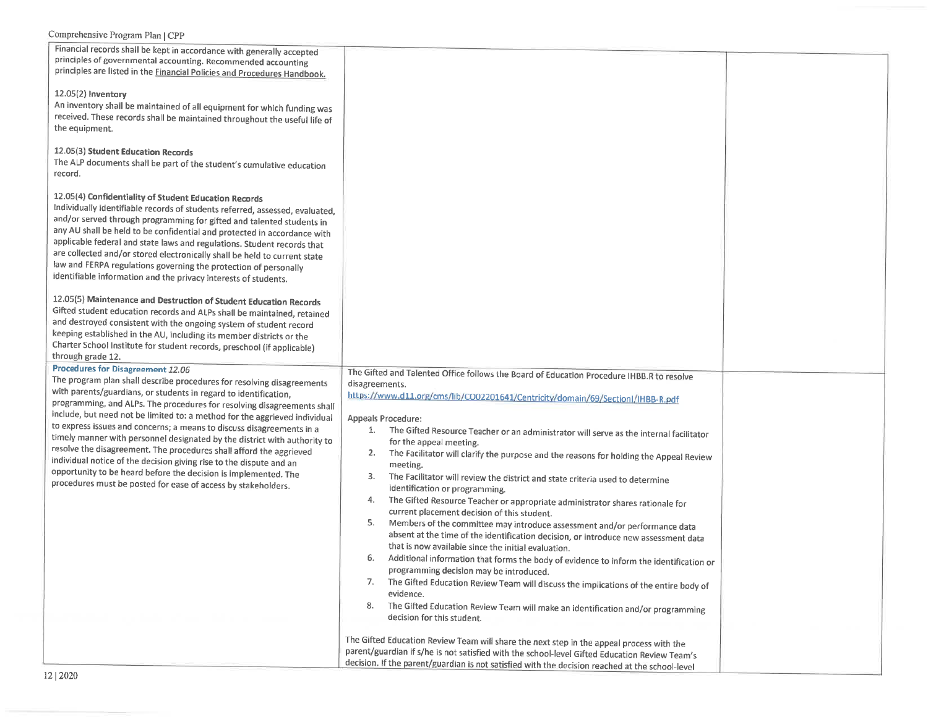| Financial records shall be kept in accordance with generally accepted                                                                                                                                                                                                                                                                                                                                                                                                                                                                                                                                                                                                                                                                                                            |                                                                                                                                                                                                                                                                                                                                                                                                                                                                                                                                                                                                                                                                                                                                                                                                                                                                                                                                                                                                                                                                                                                                                                                                                                                                                                                                          |  |
|----------------------------------------------------------------------------------------------------------------------------------------------------------------------------------------------------------------------------------------------------------------------------------------------------------------------------------------------------------------------------------------------------------------------------------------------------------------------------------------------------------------------------------------------------------------------------------------------------------------------------------------------------------------------------------------------------------------------------------------------------------------------------------|------------------------------------------------------------------------------------------------------------------------------------------------------------------------------------------------------------------------------------------------------------------------------------------------------------------------------------------------------------------------------------------------------------------------------------------------------------------------------------------------------------------------------------------------------------------------------------------------------------------------------------------------------------------------------------------------------------------------------------------------------------------------------------------------------------------------------------------------------------------------------------------------------------------------------------------------------------------------------------------------------------------------------------------------------------------------------------------------------------------------------------------------------------------------------------------------------------------------------------------------------------------------------------------------------------------------------------------|--|
| principles of governmental accounting. Recommended accounting<br>principles are listed in the <b>Financial Policies and Procedures Handbook</b> .                                                                                                                                                                                                                                                                                                                                                                                                                                                                                                                                                                                                                                |                                                                                                                                                                                                                                                                                                                                                                                                                                                                                                                                                                                                                                                                                                                                                                                                                                                                                                                                                                                                                                                                                                                                                                                                                                                                                                                                          |  |
| 12.05(2) Inventory<br>An inventory shall be maintained of all equipment for which funding was<br>received. These records shall be maintained throughout the useful life of<br>the equipment.                                                                                                                                                                                                                                                                                                                                                                                                                                                                                                                                                                                     |                                                                                                                                                                                                                                                                                                                                                                                                                                                                                                                                                                                                                                                                                                                                                                                                                                                                                                                                                                                                                                                                                                                                                                                                                                                                                                                                          |  |
| 12.05(3) Student Education Records<br>The ALP documents shall be part of the student's cumulative education<br>record.                                                                                                                                                                                                                                                                                                                                                                                                                                                                                                                                                                                                                                                           |                                                                                                                                                                                                                                                                                                                                                                                                                                                                                                                                                                                                                                                                                                                                                                                                                                                                                                                                                                                                                                                                                                                                                                                                                                                                                                                                          |  |
| 12.05(4) Confidentiality of Student Education Records<br>Individually identifiable records of students referred, assessed, evaluated,<br>and/or served through programming for gifted and talented students in<br>any AU shall be held to be confidential and protected in accordance with<br>applicable federal and state laws and regulations. Student records that<br>are collected and/or stored electronically shall be held to current state<br>law and FERPA regulations governing the protection of personally<br>identifiable information and the privacy interests of students.                                                                                                                                                                                        |                                                                                                                                                                                                                                                                                                                                                                                                                                                                                                                                                                                                                                                                                                                                                                                                                                                                                                                                                                                                                                                                                                                                                                                                                                                                                                                                          |  |
| 12.05(5) Maintenance and Destruction of Student Education Records<br>Gifted student education records and ALPs shall be maintained, retained<br>and destroyed consistent with the ongoing system of student record<br>keeping established in the AU, including its member districts or the<br>Charter School Institute for student records, preschool (if applicable)<br>through grade 12.                                                                                                                                                                                                                                                                                                                                                                                       |                                                                                                                                                                                                                                                                                                                                                                                                                                                                                                                                                                                                                                                                                                                                                                                                                                                                                                                                                                                                                                                                                                                                                                                                                                                                                                                                          |  |
| Procedures for Disagreement 12.06<br>The program plan shall describe procedures for resolving disagreements<br>with parents/guardians, or students in regard to identification,<br>programming, and ALPs. The procedures for resolving disagreements shall<br>include, but need not be limited to: a method for the aggrieved individual<br>to express issues and concerns; a means to discuss disagreements in a<br>timely manner with personnel designated by the district with authority to<br>resolve the disagreement. The procedures shall afford the aggrieved<br>individual notice of the decision giving rise to the dispute and an<br>opportunity to be heard before the decision is implemented. The<br>procedures must be posted for ease of access by stakeholders. | The Gifted and Talented Office follows the Board of Education Procedure IHBB.R to resolve<br>disagreements.<br>https://www.d11.org/cms/lib/CO02201641/Centricity/domain/69/Sectionl/IHBB-R.pdf<br>Appeals Procedure:<br>1.<br>The Gifted Resource Teacher or an administrator will serve as the internal facilitator<br>for the appeal meeting.<br>2.<br>The Facilitator will clarify the purpose and the reasons for holding the Appeal Review<br>meeting.<br>3.<br>The Facilitator will review the district and state criteria used to determine<br>identification or programming.<br>4.<br>The Gifted Resource Teacher or appropriate administrator shares rationale for<br>current placement decision of this student.<br>5.<br>Members of the committee may introduce assessment and/or performance data<br>absent at the time of the identification decision, or introduce new assessment data<br>that is now available since the initial evaluation.<br>6.<br>Additional information that forms the body of evidence to inform the identification or<br>programming decision may be introduced.<br>7.<br>The Gifted Education Review Team will discuss the implications of the entire body of<br>evidence.<br>8.<br>The Gifted Education Review Team will make an identification and/or programming<br>decision for this student. |  |
| 0.0001                                                                                                                                                                                                                                                                                                                                                                                                                                                                                                                                                                                                                                                                                                                                                                           | The Gifted Education Review Team will share the next step in the appeal process with the<br>parent/guardian if s/he is not satisfied with the school-level Gifted Education Review Team's<br>decision. If the parent/guardian is not satisfied with the decision reached at the school-level                                                                                                                                                                                                                                                                                                                                                                                                                                                                                                                                                                                                                                                                                                                                                                                                                                                                                                                                                                                                                                             |  |